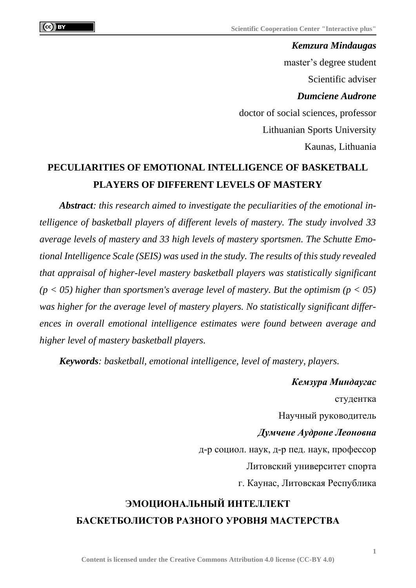*Kemzura Mindaugas*  master's degree student Scientific adviser *Dumciene Audrone* doctor of social sciences, professor Lithuanian Sports University Kaunas, Lithuania

## **PECULIARITIES OF EMOTIONAL INTELLIGENCE OF BASKETBALL PLAYERS OF DIFFERENT LEVELS OF MASTERY**

*Abstract: this research aimed to investigate the peculiarities of the emotional intelligence of basketball players of different levels of mastery. The study involved 33 average levels of mastery and 33 high levels of mastery sportsmen. The Schutte Emotional Intelligence Scale (SEIS) was used in the study. The results of this study revealed that appraisal of higher-level mastery basketball players was statistically significant (p < 05) higher than sportsmen's average level of mastery. But the optimism (p < 05) was higher for the average level of mastery players. No statistically significant differences in overall emotional intelligence estimates were found between average and higher level of mastery basketball players.*

*Keywords: basketball, emotional intelligence, level of mastery, players.*

*Кемзура Миндаугас* студентка Научный руководитель *Думчене Аудроне Леоновна* д-р социол. наук, д-р пед. наук, профессор Литовский университет спорта г. Каунас, Литовская Республика

## **ЭМОЦИОНАЛЬНЫЙ ИНТЕЛЛЕКТ БАСКЕТБОЛИСТОВ РАЗНОГО УРОВНЯ МАСТЕРСТВА**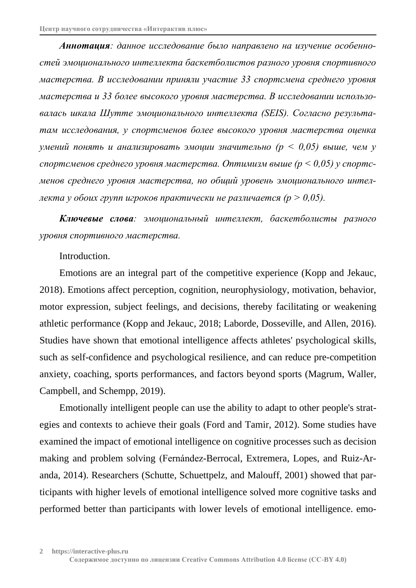*Аннотация: данное исследование было направлено на изучение особенностей эмоционального интеллекта баскетболистов разного уровня спортивного мастерства. В исследовании приняли участие 33 спортсмена среднего уровня мастерства и 33 более высокого уровня мастерства. В исследовании использовалась шкала Шутте эмоционального интеллекта (SEIS). Согласно результатам исследования, у спортсменов более высокого уровня мастерства оценка умений понять и анализировать эмоции значительно (p < 0,05) выше, чем у спортсменов среднего уровня мастерства. Оптимизм выше (p < 0,05) у спортсменов среднего уровня мастерства, но общий уровень эмоционального интеллекта у обоих групп игроков практически не различается (p > 0,05).*

*Ключевые слова: эмоциональный интеллект, баскетболисты разного уровня спортивного мастерства.*

## Introduction.

Emotions are an integral part of the competitive experience (Kopp and Jekauc, 2018). Emotions affect perception, cognition, neurophysiology, motivation, behavior, motor expression, subject feelings, and decisions, thereby facilitating or weakening athletic performance (Kopp and Jekauc, 2018; Laborde, Dosseville, and Allen, 2016). Studies have shown that emotional intelligence affects athletes' psychological skills, such as self-confidence and psychological resilience, and can reduce pre-competition anxiety, coaching, sports performances, and factors beyond sports (Magrum, Waller, Campbell, and Schempp, 2019).

Emotionally intelligent people can use the ability to adapt to other people's strategies and contexts to achieve their goals (Ford and Tamir, 2012). Some studies have examined the impact of emotional intelligence on cognitive processes such as decision making and problem solving (Fernández-Berrocal, Extremera, Lopes, and Ruiz-Aranda, 2014). Researchers (Schutte, Schuettpelz, and Malouff, 2001) showed that participants with higher levels of emotional intelligence solved more cognitive tasks and performed better than participants with lower levels of emotional intelligence. emo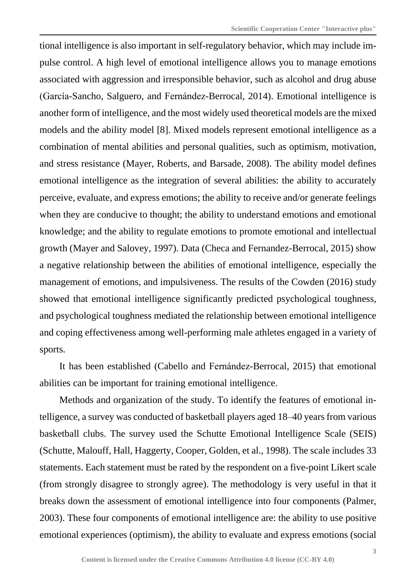tional intelligence is also important in self-regulatory behavior, which may include impulse control. A high level of emotional intelligence allows you to manage emotions associated with aggression and irresponsible behavior, such as alcohol and drug abuse (García-Sancho, Salguero, and Fernández-Berrocal, 2014). Emotional intelligence is another form of intelligence, and the most widely used theoretical models are the mixed models and the ability model [8]. Mixed models represent emotional intelligence as a combination of mental abilities and personal qualities, such as optimism, motivation, and stress resistance (Mayer, Roberts, and Barsade, 2008). The ability model defines emotional intelligence as the integration of several abilities: the ability to accurately perceive, evaluate, and express emotions; the ability to receive and/or generate feelings when they are conducive to thought; the ability to understand emotions and emotional knowledge; and the ability to regulate emotions to promote emotional and intellectual growth (Mayer and Salovey, 1997). Data (Checa and Fernandez-Berrocal, 2015) show a negative relationship between the abilities of emotional intelligence, especially the management of emotions, and impulsiveness. The results of the Cowden (2016) study showed that emotional intelligence significantly predicted psychological toughness, and psychological toughness mediated the relationship between emotional intelligence and coping effectiveness among well-performing male athletes engaged in a variety of sports.

It has been established (Cabello and Fernández-Berrocal, 2015) that emotional abilities can be important for training emotional intelligence.

Methods and organization of the study. To identify the features of emotional intelligence, a survey was conducted of basketball players aged 18–40 years from various basketball clubs. The survey used the Schutte Emotional Intelligence Scale (SEIS) (Schutte, Malouff, Hall, Haggerty, Cooper, Golden, et al., 1998). The scale includes 33 statements. Each statement must be rated by the respondent on a five-point Likert scale (from strongly disagree to strongly agree). The methodology is very useful in that it breaks down the assessment of emotional intelligence into four components (Palmer, 2003). These four components of emotional intelligence are: the ability to use positive emotional experiences (optimism), the ability to evaluate and express emotions (social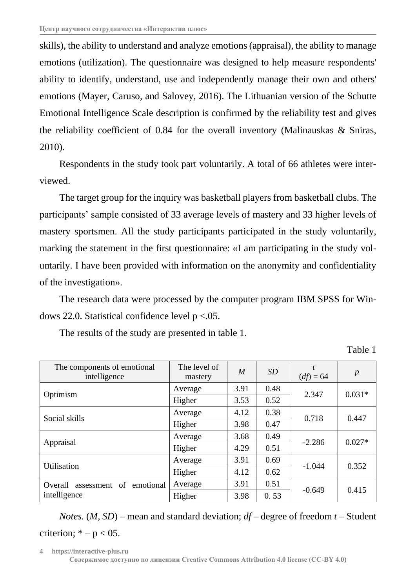skills), the ability to understand and analyze emotions (appraisal), the ability to manage emotions (utilization). The questionnaire was designed to help measure respondents' ability to identify, understand, use and independently manage their own and others' emotions (Mayer, Caruso, and Salovey, 2016). The Lithuanian version of the Schutte Emotional Intelligence Scale description is confirmed by the reliability test and gives the reliability coefficient of 0.84 for the overall inventory (Malinauskas & Sniras, 2010).

Respondents in the study took part voluntarily. A total of 66 athletes were interviewed.

The target group for the inquiry was basketball players from basketball clubs. The participants' sample consisted of 33 average levels of mastery and 33 higher levels of mastery sportsmen. All the study participants participated in the study voluntarily, marking the statement in the first questionnaire: «I am participating in the study voluntarily. I have been provided with information on the anonymity and confidentiality of the investigation».

The research data were processed by the computer program IBM SPSS for Windows 22.0. Statistical confidence level  $p < .05$ .

| The components of emotional<br>intelligence           | The level of<br>mastery | $\overline{M}$ | SD   | $(df) = 64$ | $\boldsymbol{p}$ |
|-------------------------------------------------------|-------------------------|----------------|------|-------------|------------------|
| Optimism                                              | Average                 | 3.91           | 0.48 | 2.347       | $0.031*$         |
|                                                       | Higher                  | 3.53           | 0.52 |             |                  |
| Social skills                                         | Average                 | 4.12           | 0.38 | 0.718       | 0.447            |
|                                                       | Higher                  | 3.98           | 0.47 |             |                  |
| Appraisal                                             | Average                 | 3.68           | 0.49 | $-2.286$    | $0.027*$         |
|                                                       | Higher                  | 4.29           | 0.51 |             |                  |
| Utilisation                                           | Average                 | 3.91           | 0.69 | $-1.044$    | 0.352            |
|                                                       | Higher                  | 4.12           | 0.62 |             |                  |
| Overall<br>assessment of<br>emotional<br>intelligence | Average                 | 3.91           | 0.51 | $-0.649$    | 0.415            |
|                                                       | Higher                  | 3.98           | 0.53 |             |                  |

The results of the study are presented in table 1.

Table 1

*Notes.* (*M, SD*) – mean and standard deviation;  $df$  – degree of freedom  $t$  – Student criterion;  $* - p < 05$ .

**4 https://interactive-plus.ru Содержимое доступно по лицензии Creative Commons Attribution 4.0 license (CC-BY 4.0)**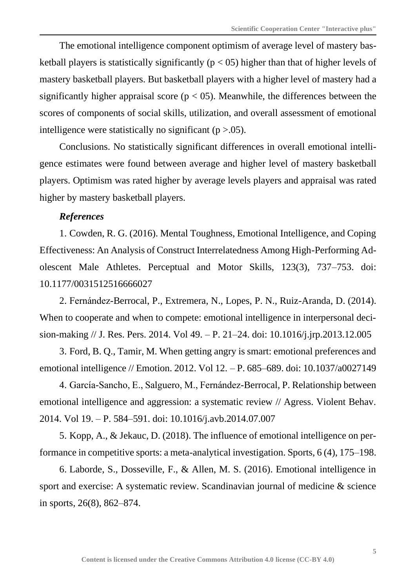The emotional intelligence component optimism of average level of mastery basketball players is statistically significantly ( $p < 05$ ) higher than that of higher levels of mastery basketball players. But basketball players with a higher level of mastery had a significantly higher appraisal score ( $p < 0.05$ ). Meanwhile, the differences between the scores of components of social skills, utilization, and overall assessment of emotional intelligence were statistically no significant ( $p > .05$ ).

Conclusions. No statistically significant differences in overall emotional intelligence estimates were found between average and higher level of mastery basketball players. Optimism was rated higher by average levels players and appraisal was rated higher by mastery basketball players.

## *References*

1. Cowden, R. G. (2016). Mental Toughness, Emotional Intelligence, and Coping Effectiveness: An Analysis of Construct Interrelatedness Among High-Performing Adolescent Male Athletes. Perceptual and Motor Skills, 123(3), 737–753. doi: 10.1177/0031512516666027

2. Fernández-Berrocal, P., Extremera, N., Lopes, P. N., Ruiz-Aranda, D. (2014). When to cooperate and when to compete: emotional intelligence in interpersonal decision-making // J. Res. Pers. 2014. Vol 49. – P. 21–24. doi: 10.1016/j.jrp.2013.12.005

3. Ford, B. Q., Tamir, M. When getting angry is smart: emotional preferences and emotional intelligence // Emotion. 2012. Vol 12. – P. 685–689. doi: 10.1037/a0027149

4. García-Sancho, E., Salguero, M., Fernández-Berrocal, P. Relationship between emotional intelligence and aggression: a systematic review // Agress. Violent Behav. 2014. Vol 19. – P. 584–591. doi: 10.1016/j.avb.2014.07.007

5. Kopp, A., & Jekauc, D. (2018). The influence of emotional intelligence on performance in competitive sports: a meta-analytical investigation. Sports, 6 (4), 175–198.

6. Laborde, S., Dosseville, F., & Allen, M. S. (2016). Emotional intelligence in sport and exercise: A systematic review. Scandinavian journal of medicine & science in sports, 26(8), 862–874.